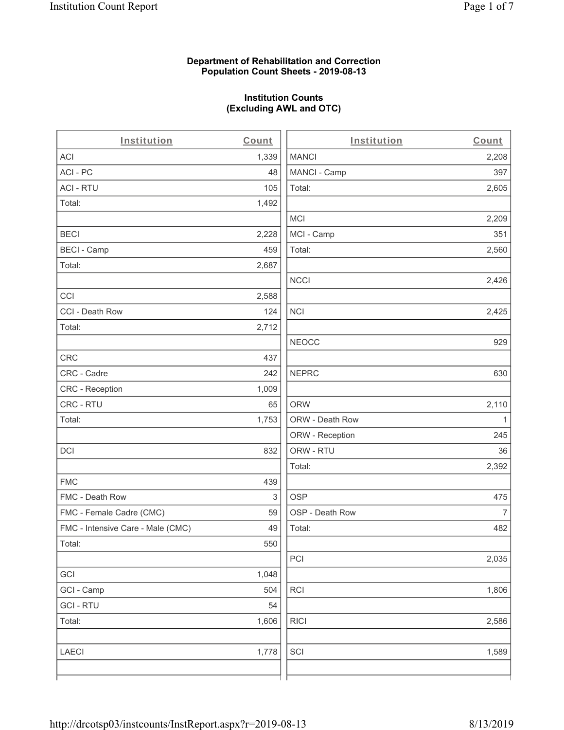#### **Department of Rehabilitation and Correction Population Count Sheets - 2019-08-13**

## **Institution Counts (Excluding AWL and OTC)**

| Institution                       | Count | Institution     | Count          |
|-----------------------------------|-------|-----------------|----------------|
| ACI                               | 1,339 | <b>MANCI</b>    | 2,208          |
| ACI-PC                            | 48    | MANCI - Camp    | 397            |
| <b>ACI - RTU</b>                  | 105   | Total:          | 2,605          |
| Total:                            | 1,492 |                 |                |
|                                   |       | <b>MCI</b>      | 2,209          |
| <b>BECI</b>                       | 2,228 | MCI - Camp      | 351            |
| <b>BECI - Camp</b>                | 459   | Total:          | 2,560          |
| Total:                            | 2,687 |                 |                |
|                                   |       | <b>NCCI</b>     | 2,426          |
| CCI                               | 2,588 |                 |                |
| CCI - Death Row                   | 124   | <b>NCI</b>      | 2,425          |
| Total:                            | 2,712 |                 |                |
|                                   |       | <b>NEOCC</b>    | 929            |
| CRC                               | 437   |                 |                |
| CRC - Cadre                       | 242   | <b>NEPRC</b>    | 630            |
| CRC - Reception                   | 1,009 |                 |                |
| CRC - RTU                         | 65    | <b>ORW</b>      | 2,110          |
| Total:                            | 1,753 | ORW - Death Row | 1              |
|                                   |       | ORW - Reception | 245            |
| <b>DCI</b>                        | 832   | ORW - RTU       | 36             |
|                                   |       | Total:          | 2,392          |
| <b>FMC</b>                        | 439   |                 |                |
| FMC - Death Row                   | 3     | <b>OSP</b>      | 475            |
| FMC - Female Cadre (CMC)          | 59    | OSP - Death Row | $\overline{7}$ |
| FMC - Intensive Care - Male (CMC) | 49    | Total:          | 482            |
| Total:                            | 550   |                 |                |
|                                   |       | PCI             | 2,035          |
| GCI                               | 1,048 |                 |                |
| GCI - Camp                        | 504   | RCI             | 1,806          |
| <b>GCI-RTU</b>                    | 54    |                 |                |
| Total:                            | 1,606 | <b>RICI</b>     | 2,586          |
| <b>LAECI</b>                      | 1,778 | SCI             | 1,589          |
|                                   |       |                 |                |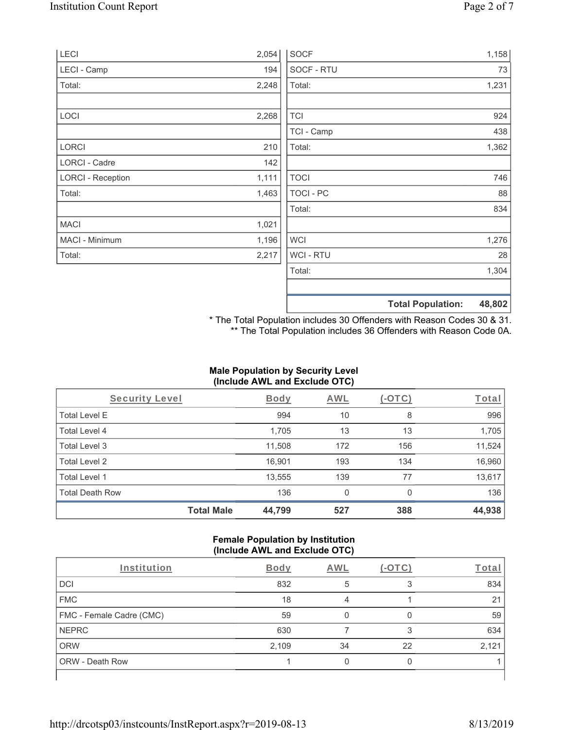| LECI                     | 2,054 | <b>SOCF</b>      | 1,158                              |
|--------------------------|-------|------------------|------------------------------------|
| LECI - Camp              | 194   | SOCF - RTU       | 73                                 |
| Total:                   | 2,248 | Total:           | 1,231                              |
|                          |       |                  |                                    |
| LOCI                     | 2,268 | <b>TCI</b>       | 924                                |
|                          |       | TCI - Camp       | 438                                |
| <b>LORCI</b>             | 210   | Total:           | 1,362                              |
| LORCI - Cadre            | 142   |                  |                                    |
| <b>LORCI - Reception</b> | 1,111 | <b>TOCI</b>      | 746                                |
| Total:                   | 1,463 | <b>TOCI - PC</b> | 88                                 |
|                          |       | Total:           | 834                                |
| <b>MACI</b>              | 1,021 |                  |                                    |
| MACI - Minimum           | 1,196 | <b>WCI</b>       | 1,276                              |
| Total:                   | 2,217 | <b>WCI-RTU</b>   | 28                                 |
|                          |       | Total:           | 1,304                              |
|                          |       |                  |                                    |
|                          |       |                  | 48,802<br><b>Total Population:</b> |

\* The Total Population includes 30 Offenders with Reason Codes 30 & 31. \*\* The Total Population includes 36 Offenders with Reason Code 0A.

## **Male Population by Security Level (Include AWL and Exclude OTC)**

| Security Level         |                   | <b>Body</b> | <b>AWL</b> | $(-\text{OTC})$ | Total  |
|------------------------|-------------------|-------------|------------|-----------------|--------|
| <b>Total Level E</b>   |                   | 994         | 10         | 8               | 996    |
| <b>Total Level 4</b>   |                   | 1,705       | 13         | 13              | 1,705  |
| Total Level 3          |                   | 11,508      | 172        | 156             | 11,524 |
| Total Level 2          |                   | 16,901      | 193        | 134             | 16,960 |
| Total Level 1          |                   | 13,555      | 139        | 77              | 13,617 |
| <b>Total Death Row</b> |                   | 136         | 0          | $\Omega$        | 136    |
|                        | <b>Total Male</b> | 44,799      | 527        | 388             | 44,938 |

#### **Female Population by Institution (Include AWL and Exclude OTC)**

| Institution              | <b>Body</b> | AWL | $(-OTC)$ | Total |
|--------------------------|-------------|-----|----------|-------|
| <b>DCI</b>               | 832         | 5   |          | 834   |
| <b>FMC</b>               | 18          |     |          | 21    |
| FMC - Female Cadre (CMC) | 59          |     |          | 59    |
| <b>NEPRC</b>             | 630         |     | 3        | 634   |
| <b>ORW</b>               | 2,109       | 34  | 22       | 2,121 |
| <b>ORW - Death Row</b>   |             |     |          |       |
|                          |             |     |          |       |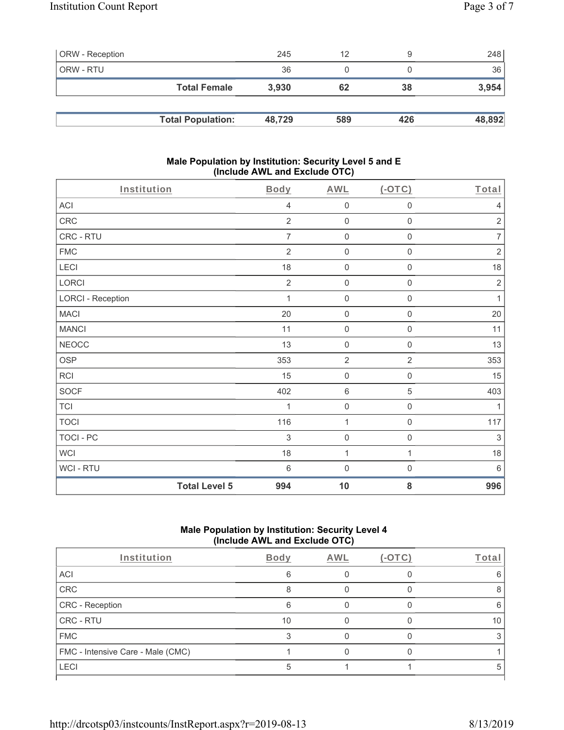| <b>ORW</b> - Reception |                          | 245    | 12  |     | 248    |
|------------------------|--------------------------|--------|-----|-----|--------|
| ORW - RTU              |                          | 36     |     |     | 36     |
|                        | <b>Total Female</b>      | 3,930  | 62  | 38  | 3,954  |
|                        |                          |        |     |     |        |
|                        | <b>Total Population:</b> | 48,729 | 589 | 426 | 48,892 |

#### **Male Population by Institution: Security Level 5 and E (Include AWL and Exclude OTC)**

| Institution              |                      | Body            | <b>AWL</b>          | $($ -OTC $)$        | Total                     |
|--------------------------|----------------------|-----------------|---------------------|---------------------|---------------------------|
| <b>ACI</b>               |                      | 4               | $\mathsf{O}\xspace$ | $\mathsf{O}\xspace$ | $\overline{4}$            |
| CRC                      |                      | $\overline{2}$  | $\mathbf 0$         | $\mathsf{O}\xspace$ | $\overline{2}$            |
| CRC - RTU                |                      | $\overline{7}$  | $\mathsf{O}\xspace$ | $\mathbf 0$         | $\overline{7}$            |
| ${\sf FMC}$              |                      | $\overline{2}$  | $\mathsf{O}\xspace$ | $\mathsf{O}\xspace$ | $\sqrt{2}$                |
| LECI                     |                      | 18              | $\mathsf{O}\xspace$ | $\mathsf{O}\xspace$ | 18                        |
| LORCI                    |                      | $\overline{2}$  | $\mathsf{O}\xspace$ | $\mathsf{O}\xspace$ | $\sqrt{2}$                |
| <b>LORCI - Reception</b> |                      | 1               | $\mathbf 0$         | 0                   | $\mathbf{1}$              |
| <b>MACI</b>              |                      | 20              | $\mathsf 0$         | $\mathsf{O}\xspace$ | 20                        |
| <b>MANCI</b>             |                      | 11              | $\mathsf 0$         | $\mathbf 0$         | 11                        |
| <b>NEOCC</b>             |                      | 13              | $\mathsf 0$         | 0                   | 13                        |
| <b>OSP</b>               |                      | 353             | $\overline{2}$      | $\overline{2}$      | 353                       |
| RCI                      |                      | 15              | $\mathbf 0$         | $\mathsf 0$         | 15                        |
| <b>SOCF</b>              |                      | 402             | $\,6\,$             | 5                   | 403                       |
| <b>TCI</b>               |                      | 1               | $\mathsf{O}\xspace$ | $\mathbf 0$         | $\mathbf{1}$              |
| <b>TOCI</b>              |                      | 116             | 1                   | $\mathbf 0$         | 117                       |
| <b>TOCI - PC</b>         |                      | 3               | $\mathsf 0$         | $\boldsymbol{0}$    | $\ensuremath{\mathsf{3}}$ |
| <b>WCI</b>               |                      | 18              | 1                   | 1                   | 18                        |
| WCI - RTU                |                      | $6\phantom{1}6$ | $\mathbf 0$         | $\boldsymbol{0}$    | 6                         |
|                          | <b>Total Level 5</b> | 994             | 10                  | 8                   | 996                       |

# **Male Population by Institution: Security Level 4 (Include AWL and Exclude OTC)**

| Institution                       | Body | AWL | (-OT | Total |
|-----------------------------------|------|-----|------|-------|
| ACI                               |      |     |      |       |
| CRC                               |      |     |      |       |
| CRC - Reception                   |      |     |      |       |
| CRC - RTU                         | 10   |     |      | 10    |
| <b>FMC</b>                        |      |     |      |       |
| FMC - Intensive Care - Male (CMC) |      |     |      |       |
| LECI                              |      |     |      |       |
|                                   |      |     |      |       |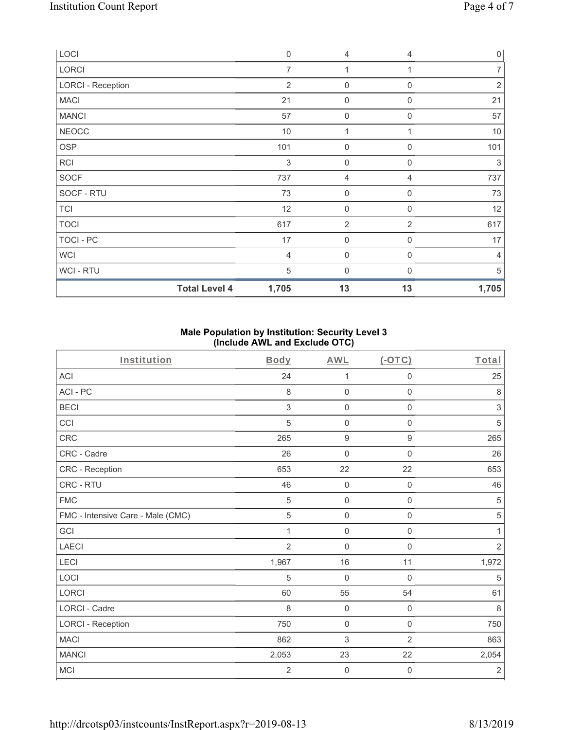| LOCI                     | $\mathbf 0$    | 4                   | $\overline{4}$ | $\mathsf{O}\xspace$ |
|--------------------------|----------------|---------------------|----------------|---------------------|
| LORCI                    | $\overline{7}$ | 1                   | 1              | $\overline{7}$      |
| <b>LORCI - Reception</b> | $\overline{2}$ | $\boldsymbol{0}$    | 0              | $\sqrt{2}$          |
| <b>MACI</b>              | 21             | 0                   | $\mathbf 0$    | 21                  |
| <b>MANCI</b>             | 57             | $\boldsymbol{0}$    | $\mathbf 0$    | 57                  |
| <b>NEOCC</b>             | $10$           | 1                   |                | $10$                |
| OSP                      | 101            | $\boldsymbol{0}$    | 0              | 101                 |
| <b>RCI</b>               | 3              | $\mathsf{O}\xspace$ | $\mathbf 0$    | 3                   |
| <b>SOCF</b>              | 737            | 4                   | 4              | 737                 |
| SOCF - RTU               | 73             | $\mathsf{O}\xspace$ | $\mathbf 0$    | 73                  |
| <b>TCI</b>               | 12             | $\mathsf{O}\xspace$ | $\overline{0}$ | 12                  |
| <b>TOCI</b>              | 617            | $\overline{2}$      | $\overline{2}$ | 617                 |
| TOCI - PC                | 17             | $\mathsf{O}\xspace$ | $\mathbf 0$    | 17                  |
| <b>WCI</b>               | $\overline{4}$ | $\mathsf{O}\xspace$ | $\overline{0}$ | $\overline{4}$      |
| WCI - RTU                | 5              | 0                   | $\Omega$       | 5                   |
| <b>Total Level 4</b>     | 1,705          | 13                  | 13             | 1,705               |

### **Male Population by Institution: Security Level 3 (Include AWL and Exclude OTC)**

| Institution                       | <b>Body</b>    | <b>AWL</b>          | $($ -OTC $)$        | Total                     |
|-----------------------------------|----------------|---------------------|---------------------|---------------------------|
| <b>ACI</b>                        | 24             | 1                   | $\boldsymbol{0}$    | 25                        |
| ACI-PC                            | 8              | $\mathsf{O}\xspace$ | $\mathbf 0$         | $\,8\,$                   |
| <b>BECI</b>                       | 3              | $\boldsymbol{0}$    | $\mathsf{O}\xspace$ | $\ensuremath{\mathsf{3}}$ |
| CCI                               | 5              | $\mathbf 0$         | $\mathsf{O}\xspace$ | 5                         |
| <b>CRC</b>                        | 265            | $\boldsymbol{9}$    | $\boldsymbol{9}$    | 265                       |
| CRC - Cadre                       | 26             | $\mathbf 0$         | $\mathsf{O}\xspace$ | 26                        |
| CRC - Reception                   | 653            | 22                  | 22                  | 653                       |
| CRC - RTU                         | 46             | $\boldsymbol{0}$    | $\mathbf 0$         | 46                        |
| <b>FMC</b>                        | 5              | $\mathbf 0$         | $\boldsymbol{0}$    | $\sqrt{5}$                |
| FMC - Intensive Care - Male (CMC) | 5              | $\mathbf 0$         | $\mathsf{O}\xspace$ | $\,$ 5 $\,$               |
| GCI                               | 1              | $\mathbf 0$         | $\mathbf 0$         | 1                         |
| <b>LAECI</b>                      | $\overline{2}$ | $\mathbf 0$         | $\mathbf 0$         | $\overline{2}$            |
| LECI                              | 1,967          | 16                  | 11                  | 1,972                     |
| LOCI                              | 5              | $\mathbf 0$         | $\mathbf 0$         | 5                         |
| LORCI                             | 60             | 55                  | 54                  | 61                        |
| <b>LORCI - Cadre</b>              | 8              | $\mathbf 0$         | $\mathbf 0$         | $\,8\,$                   |
| <b>LORCI - Reception</b>          | 750            | $\mathbf 0$         | $\mathbf 0$         | 750                       |
| <b>MACI</b>                       | 862            | 3                   | $\overline{2}$      | 863                       |
| <b>MANCI</b>                      | 2,053          | 23                  | 22                  | 2,054                     |
| <b>MCI</b>                        | $\overline{2}$ | $\boldsymbol{0}$    | $\boldsymbol{0}$    | $\sqrt{2}$                |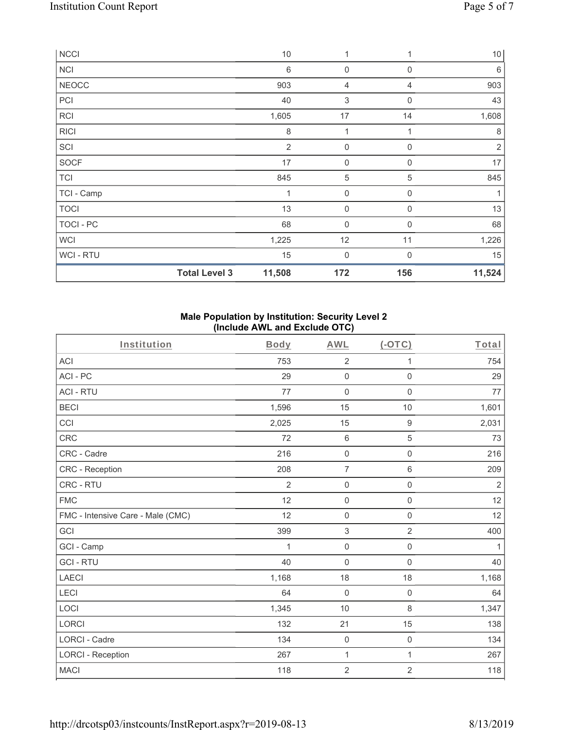| <b>NCCI</b>    |                      | $10$           | 1                   |                  | 10 <sup>1</sup> |
|----------------|----------------------|----------------|---------------------|------------------|-----------------|
| <b>NCI</b>     |                      | 6              | $\boldsymbol{0}$    | $\mathbf 0$      | 6               |
| <b>NEOCC</b>   |                      | 903            | 4                   | 4                | 903             |
| PCI            |                      | 40             | 3                   | $\mathbf 0$      | 43              |
| <b>RCI</b>     |                      | 1,605          | 17                  | 14               | 1,608           |
| <b>RICI</b>    |                      | 8              | 1                   | 1                | 8               |
| SCI            |                      | $\overline{2}$ | $\mathsf{O}\xspace$ | $\mathbf 0$      | $\overline{2}$  |
| SOCF           |                      | 17             | $\boldsymbol{0}$    | $\boldsymbol{0}$ | 17              |
| <b>TCI</b>     |                      | 845            | $\mathbf 5$         | 5                | 845             |
| TCI - Camp     |                      | 1              | $\boldsymbol{0}$    | $\mathbf 0$      | 1               |
| <b>TOCI</b>    |                      | 13             | 0                   | $\mathbf 0$      | 13              |
| TOCI - PC      |                      | 68             | $\boldsymbol{0}$    | $\Omega$         | 68              |
| <b>WCI</b>     |                      | 1,225          | 12                  | 11               | 1,226           |
| <b>WCI-RTU</b> |                      | 15             | $\boldsymbol{0}$    | $\Omega$         | 15              |
|                | <b>Total Level 3</b> | 11,508         | 172                 | 156              | 11,524          |

#### **Male Population by Institution: Security Level 2 (Include AWL and Exclude OTC)**

| Institution                       | Body           | <b>AWL</b>          | $($ -OTC $)$        | Total          |
|-----------------------------------|----------------|---------------------|---------------------|----------------|
| <b>ACI</b>                        | 753            | $\overline{2}$      | 1                   | 754            |
| ACI-PC                            | 29             | $\mathbf 0$         | $\mathsf 0$         | 29             |
| <b>ACI - RTU</b>                  | 77             | $\mathbf 0$         | $\mathbf 0$         | 77             |
| <b>BECI</b>                       | 1,596          | 15                  | 10                  | 1,601          |
| CCI                               | 2,025          | 15                  | $\hbox{9}$          | 2,031          |
| CRC                               | 72             | $\,6\,$             | 5                   | 73             |
| CRC - Cadre                       | 216            | $\mathbf 0$         | $\mathsf 0$         | 216            |
| <b>CRC</b> - Reception            | 208            | $\overline{7}$      | $\,6$               | 209            |
| CRC - RTU                         | $\overline{2}$ | $\mathsf{O}\xspace$ | $\mathsf 0$         | $\overline{2}$ |
| <b>FMC</b>                        | 12             | $\mathbf 0$         | 0                   | 12             |
| FMC - Intensive Care - Male (CMC) | 12             | $\mathsf{O}\xspace$ | $\mathsf{O}\xspace$ | 12             |
| GCI                               | 399            | $\sqrt{3}$          | $\overline{2}$      | 400            |
| GCI - Camp                        | 1              | $\mathsf{O}\xspace$ | $\mathsf{O}\xspace$ | 1              |
| <b>GCI-RTU</b>                    | 40             | $\mathsf{O}\xspace$ | $\mathsf 0$         | 40             |
| <b>LAECI</b>                      | 1,168          | 18                  | 18                  | 1,168          |
| LECI                              | 64             | $\mathbf 0$         | 0                   | 64             |
| LOCI                              | 1,345          | 10                  | 8                   | 1,347          |
| <b>LORCI</b>                      | 132            | 21                  | 15                  | 138            |
| <b>LORCI - Cadre</b>              | 134            | $\mathsf{O}\xspace$ | $\mathsf 0$         | 134            |
| <b>LORCI - Reception</b>          | 267            | 1                   | $\mathbf{1}$        | 267            |
| <b>MACI</b>                       | 118            | $\sqrt{2}$          | $\overline{2}$      | 118            |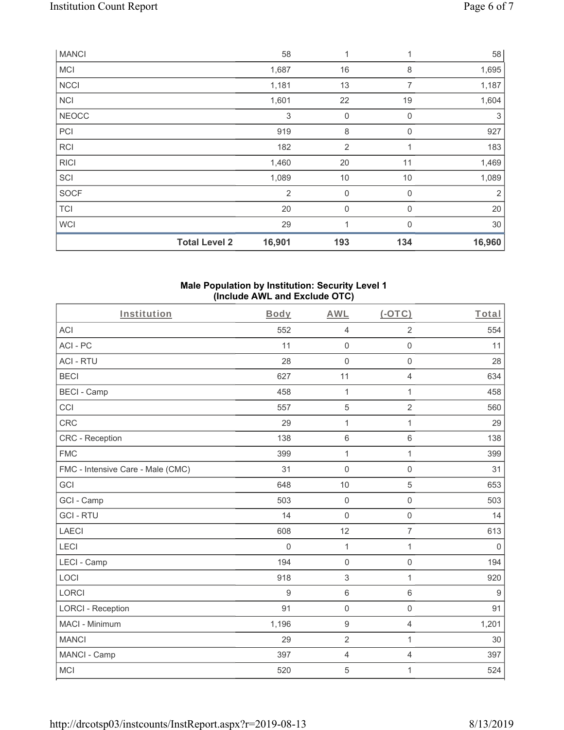| <b>MANCI</b> |                      | 58             | 1           | $\mathbf{1}$ | 58             |
|--------------|----------------------|----------------|-------------|--------------|----------------|
| <b>MCI</b>   |                      | 1,687          | 16          | 8            | 1,695          |
| <b>NCCI</b>  |                      | 1,181          | 13          | 7            | 1,187          |
| <b>NCI</b>   |                      | 1,601          | 22          | 19           | 1,604          |
| <b>NEOCC</b> |                      | 3              | $\mathbf 0$ | $\mathbf 0$  | 3              |
| PCI          |                      | 919            | 8           | $\mathbf 0$  | 927            |
| <b>RCI</b>   |                      | 182            | 2           |              | 183            |
| <b>RICI</b>  |                      | 1,460          | 20          | 11           | 1,469          |
| SCI          |                      | 1,089          | 10          | 10           | 1,089          |
| SOCF         |                      | $\overline{2}$ | $\mathbf 0$ | $\mathbf 0$  | $\overline{2}$ |
| <b>TCI</b>   |                      | 20             | $\mathbf 0$ | $\mathbf 0$  | 20             |
| <b>WCI</b>   |                      | 29             | 1           | $\Omega$     | 30             |
|              | <b>Total Level 2</b> | 16,901         | 193         | 134          | 16,960         |

#### **Male Population by Institution: Security Level 1 (Include AWL and Exclude OTC)**

| Institution                       | Body     | <b>AWL</b>          | (OTC)               | Total       |
|-----------------------------------|----------|---------------------|---------------------|-------------|
| <b>ACI</b>                        | 552      | $\overline{4}$      | $\overline{2}$      | 554         |
| ACI-PC                            | 11       | $\mathsf 0$         | $\mathbf 0$         | 11          |
| <b>ACI - RTU</b>                  | 28       | $\mathbf 0$         | $\mathsf 0$         | 28          |
| <b>BECI</b>                       | 627      | 11                  | 4                   | 634         |
| <b>BECI - Camp</b>                | 458      | $\mathbf 1$         | $\mathbf{1}$        | 458         |
| CCI                               | 557      | $\sqrt{5}$          | $\overline{2}$      | 560         |
| CRC                               | 29       | $\mathbf{1}$        | $\mathbf{1}$        | 29          |
| CRC - Reception                   | 138      | $\,6\,$             | 6                   | 138         |
| <b>FMC</b>                        | 399      | $\mathbf{1}$        | $\mathbf{1}$        | 399         |
| FMC - Intensive Care - Male (CMC) | 31       | $\mathbf 0$         | $\mathbf 0$         | 31          |
| GCI                               | 648      | 10                  | 5                   | 653         |
| GCI - Camp                        | 503      | $\mathbf 0$         | $\mathbf 0$         | 503         |
| <b>GCI-RTU</b>                    | 14       | $\mathbf 0$         | $\mathbf 0$         | 14          |
| <b>LAECI</b>                      | 608      | 12                  | $\overline{7}$      | 613         |
| <b>LECI</b>                       | $\Omega$ | $\mathbf{1}$        | $\mathbf{1}$        | $\mathbf 0$ |
| LECI - Camp                       | 194      | $\mathbf 0$         | $\mathsf{O}\xspace$ | 194         |
| LOCI                              | 918      | $\mathfrak{S}$      | $\mathbf{1}$        | 920         |
| <b>LORCI</b>                      | 9        | $\,6\,$             | $\,6\,$             | $9\,$       |
| <b>LORCI - Reception</b>          | 91       | $\mathsf{O}\xspace$ | $\mathsf 0$         | 91          |
| MACI - Minimum                    | 1,196    | $\boldsymbol{9}$    | $\overline{4}$      | 1,201       |
| <b>MANCI</b>                      | 29       | $\overline{2}$      | 1                   | 30          |
| MANCI - Camp                      | 397      | $\overline{4}$      | $\overline{4}$      | 397         |
| <b>MCI</b>                        | 520      | 5                   | 1                   | 524         |